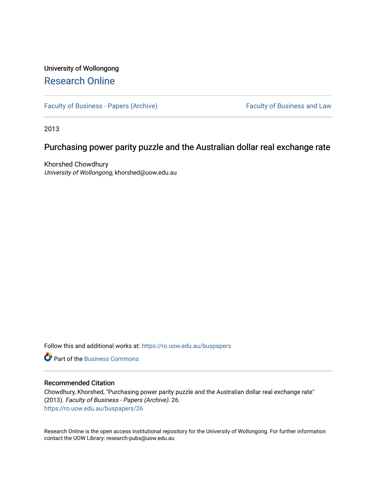# University of Wollongong [Research Online](https://ro.uow.edu.au/)

[Faculty of Business - Papers \(Archive\)](https://ro.uow.edu.au/buspapers) Faculty of Business and Law

2013

# Purchasing power parity puzzle and the Australian dollar real exchange rate

Khorshed Chowdhury University of Wollongong, khorshed@uow.edu.au

Follow this and additional works at: [https://ro.uow.edu.au/buspapers](https://ro.uow.edu.au/buspapers?utm_source=ro.uow.edu.au%2Fbuspapers%2F26&utm_medium=PDF&utm_campaign=PDFCoverPages) 

**C** Part of the [Business Commons](http://network.bepress.com/hgg/discipline/622?utm_source=ro.uow.edu.au%2Fbuspapers%2F26&utm_medium=PDF&utm_campaign=PDFCoverPages)

## Recommended Citation

Chowdhury, Khorshed, "Purchasing power parity puzzle and the Australian dollar real exchange rate" (2013). Faculty of Business - Papers (Archive). 26. [https://ro.uow.edu.au/buspapers/26](https://ro.uow.edu.au/buspapers/26?utm_source=ro.uow.edu.au%2Fbuspapers%2F26&utm_medium=PDF&utm_campaign=PDFCoverPages) 

Research Online is the open access institutional repository for the University of Wollongong. For further information contact the UOW Library: research-pubs@uow.edu.au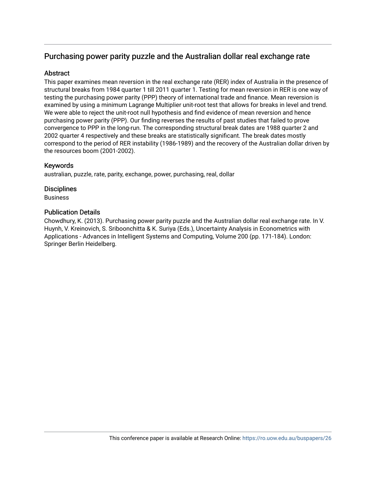## **Abstract**

This paper examines mean reversion in the real exchange rate (RER) index of Australia in the presence of structural breaks from 1984 quarter 1 till 2011 quarter 1. Testing for mean reversion in RER is one way of testing the purchasing power parity (PPP) theory of international trade and finance. Mean reversion is examined by using a minimum Lagrange Multiplier unit-root test that allows for breaks in level and trend. We were able to reject the unit-root null hypothesis and find evidence of mean reversion and hence purchasing power parity (PPP). Our finding reverses the results of past studies that failed to prove convergence to PPP in the long-run. The corresponding structural break dates are 1988 quarter 2 and 2002 quarter 4 respectively and these breaks are statistically significant. The break dates mostly correspond to the period of RER instability (1986-1989) and the recovery of the Australian dollar driven by the resources boom (2001-2002).

## Keywords

australian, puzzle, rate, parity, exchange, power, purchasing, real, dollar

## **Disciplines**

Business

## Publication Details

Chowdhury, K. (2013). Purchasing power parity puzzle and the Australian dollar real exchange rate. In V. Huynh, V. Kreinovich, S. Sriboonchitta & K. Suriya (Eds.), Uncertainty Analysis in Econometrics with Applications - Advances in Intelligent Systems and Computing, Volume 200 (pp. 171-184). London: Springer Berlin Heidelberg.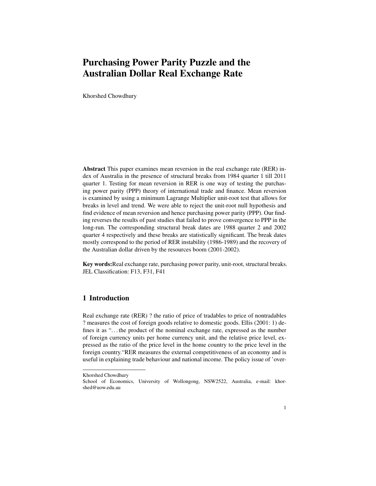Khorshed Chowdhury

Abstract This paper examines mean reversion in the real exchange rate (RER) index of Australia in the presence of structural breaks from 1984 quarter 1 till 2011 quarter 1. Testing for mean reversion in RER is one way of testing the purchasing power parity (PPP) theory of international trade and finance. Mean reversion is examined by using a minimum Lagrange Multiplier unit-root test that allows for breaks in level and trend. We were able to reject the unit-root null hypothesis and find evidence of mean reversion and hence purchasing power parity (PPP). Our finding reverses the results of past studies that failed to prove convergence to PPP in the long-run. The corresponding structural break dates are 1988 quarter 2 and 2002 quarter 4 respectively and these breaks are statistically significant. The break dates mostly correspond to the period of RER instability (1986-1989) and the recovery of the Australian dollar driven by the resources boom (2001-2002).

Key words:Real exchange rate, purchasing power parity, unit-root, structural breaks. JEL Classification: F13, F31, F41

#### 1 Introduction

Real exchange rate (RER) ? the ratio of price of tradables to price of nontradables ? measures the cost of foreign goods relative to domestic goods. Ellis (2001: 1) defines it as "... the product of the nominal exchange rate, expressed as the number of foreign currency units per home currency unit, and the relative price level, expressed as the ratio of the price level in the home country to the price level in the foreign country."RER measures the external competitiveness of an economy and is useful in explaining trade behaviour and national income. The policy issue of 'over-

Khorshed Chowdhury

School of Economics, University of Wollongong, NSW2522, Australia, e-mail: khorshed@uow.edu.au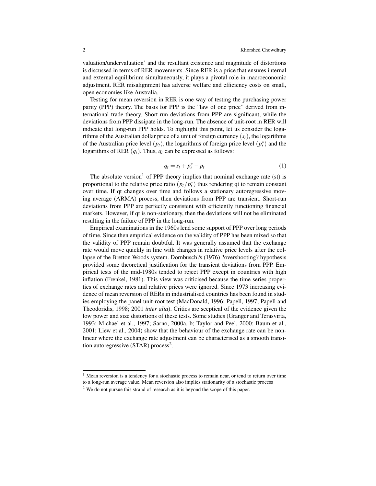valuation/undervaluation' and the resultant existence and magnitude of distortions is discussed in terms of RER movements. Since RER is a price that ensures internal and external equilibrium simultaneously, it plays a pivotal role in macroeconomic adjustment. RER misalignment has adverse welfare and efficiency costs on small, open economies like Australia.

Testing for mean reversion in RER is one way of testing the purchasing power parity (PPP) theory. The basis for PPP is the "law of one price" derived from international trade theory. Short-run deviations from PPP are significant, while the deviations from PPP dissipate in the long-run. The absence of unit-root in RER will indicate that long-run PPP holds. To highlight this point, let us consider the logarithms of the Australian dollar price of a unit of foreign currency (*st*), the logarithms of the Australian price level  $(p_t)$ , the logarithms of foreign price level  $(p_t^*)$  and the logarithms of RER  $(q_t)$ . Thus,  $q_t$  can be expressed as follows:

$$
q_t = s_t + p_t^* - p_t \tag{1}
$$

The absolute version<sup>1</sup> of PPP theory implies that nominal exchange rate (st) is proportional to the relative price ratio  $\left(\frac{p_t}{p_t^*}\right)$  thus rendering qt to remain constant over time. If qt changes over time and follows a stationary autoregressive moving average (ARMA) process, then deviations from PPP are transient. Short-run deviations from PPP are perfectly consistent with efficiently functioning financial markets. However, if qt is non-stationary, then the deviations will not be eliminated resulting in the failure of PPP in the long-run.

Empirical examinations in the 1960s lend some support of PPP over long periods of time. Since then empirical evidence on the validity of PPP has been mixed so that the validity of PPP remain doubtful. It was generally assumed that the exchange rate would move quickly in line with changes in relative price levels after the collapse of the Bretton Woods system. Dornbusch?s (1976) ?overshooting? hypothesis provided some theoretical justification for the transient deviations from PPP. Empirical tests of the mid-1980s tended to reject PPP except in countries with high inflation (Frenkel, 1981). This view was criticised because the time series properties of exchange rates and relative prices were ignored. Since 1973 increasing evidence of mean reversion of RERs in industrialised countries has been found in studies employing the panel unit-root test (MacDonald, 1996; Papell, 1997; Papell and Theodoridis, 1998; 2001 *inter alia*). Critics are sceptical of the evidence given the low power and size distortions of these tests. Some studies (Granger and Terasvirta, 1993; Michael et al., 1997; Sarno, 2000a, b; Taylor and Peel, 2000; Baum et al., 2001; Liew et al., 2004) show that the behaviour of the exchange rate can be nonlinear where the exchange rate adjustment can be characterised as a smooth transition autoregressive (STAR) process<sup>2</sup>.

<sup>&</sup>lt;sup>1</sup> Mean reversion is a tendency for a stochastic process to remain near, or tend to return over time to a long-run average value. Mean reversion also implies stationarity of a stochastic process

<sup>&</sup>lt;sup>2</sup> We do not pursue this strand of research as it is beyond the scope of this paper.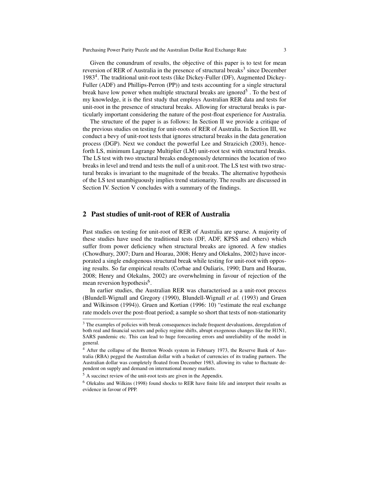Given the conundrum of results, the objective of this paper is to test for mean reversion of RER of Australia in the presence of structural breaks<sup>3</sup> since December 1983<sup>4</sup>. The traditional unit-root tests (like Dickey-Fuller (DF), Augmented Dickey-Fuller (ADF) and Phillips-Perron (PP)) and tests accounting for a single structural break have low power when multiple structural breaks are ignored<sup>5</sup>. To the best of my knowledge, it is the first study that employs Australian RER data and tests for unit-root in the presence of structural breaks. Allowing for structural breaks is particularly important considering the nature of the post-float experience for Australia.

The structure of the paper is as follows: In Section II we provide a critique of the previous studies on testing for unit-roots of RER of Australia. In Section III, we conduct a bevy of unit-root tests that ignores structural breaks in the data generation process (DGP). Next we conduct the powerful Lee and Strazicich (2003), henceforth LS, minimum Lagrange Multiplier (LM) unit-root test with structural breaks. The LS test with two structural breaks endogenously determines the location of two breaks in level and trend and tests the null of a unit-root. The LS test with two structural breaks is invariant to the magnitude of the breaks. The alternative hypothesis of the LS test unambiguously implies trend stationarity. The results are discussed in Section IV. Section V concludes with a summary of the findings.

### 2 Past studies of unit-root of RER of Australia

Past studies on testing for unit-root of RER of Australia are sparse. A majority of these studies have used the traditional tests (DF, ADF, KPSS and others) which suffer from power deficiency when structural breaks are ignored. A few studies (Chowdhury, 2007; Darn and Hoarau, 2008; Henry and Olekalns, 2002) have incorporated a single endogenous structural break while testing for unit-root with opposing results. So far empirical results (Corbae and Ouliaris, 1990; Darn and Hoarau, 2008; Henry and Olekalns, 2002) are overwhelming in favour of rejection of the mean reversion hypothesis<sup>6</sup>.

In earlier studies, the Australian RER was characterised as a unit-root process (Blundell-Wignall and Gregory (1990), Blundell-Wignall *et al.* (1993) and Gruen and Wilkinson (1994)). Gruen and Kortian (1996: 10) "estimate the real exchange rate models over the post-float period; a sample so short that tests of non-stationarity

<sup>&</sup>lt;sup>3</sup> The examples of policies with break consequences include frequent devaluations, deregulation of both real and financial sectors and policy regime shifts, abrupt exogenous changes like the H1N1, SARS pandemic etc. This can lead to huge forecasting errors and unreliability of the model in general.

<sup>4</sup> After the collapse of the Bretton Woods system in February 1973, the Reserve Bank of Australia (RBA) pegged the Australian dollar with a basket of currencies of its trading partners. The Australian dollar was completely floated from December 1983, allowing its value to fluctuate dependent on supply and demand on international money markets.

<sup>5</sup> A succinct review of the unit-root tests are given in the Appendix.

<sup>6</sup> Olekalns and Wilkins (1998) found shocks to RER have finite life and interpret their results as evidence in favour of PPP.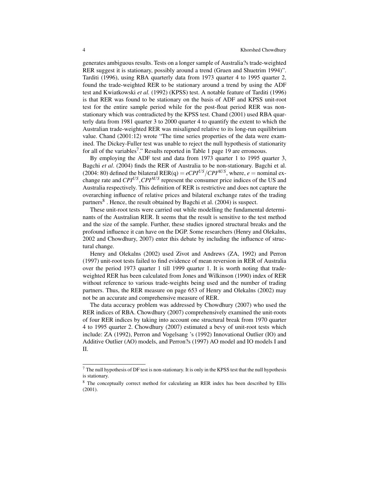generates ambiguous results. Tests on a longer sample of Australia?s trade-weighted RER suggest it is stationary, possibly around a trend (Gruen and Shuetrim 1994)". Tarditi (1996), using RBA quarterly data from 1973 quarter 4 to 1995 quarter 2, found the trade-weighted RER to be stationary around a trend by using the ADF test and Kwiatkowski *et al.* (1992) (KPSS) test. A notable feature of Tarditi (1996) is that RER was found to be stationary on the basis of ADF and KPSS unit-root test for the entire sample period while for the post-float period RER was nonstationary which was contradicted by the KPSS test. Chand (2001) used RBA quarterly data from 1981 quarter 3 to 2000 quarter 4 to quantify the extent to which the Australian trade-weighted RER was misaligned relative to its long-run equilibrium value. Chand (2001:12) wrote "The time series properties of the data were examined. The Dickey-Fuller test was unable to reject the null hypothesis of stationarity for all of the variables<sup>7</sup>." Results reported in Table 1 page 19 are erroneous.

By employing the ADF test and data from 1973 quarter 1 to 1995 quarter 3, Bagchi *et al*. (2004) finds the RER of Australia to be non-stationary. Bagchi et al. (2004: 80) defined the bilateral RER(q) =  $eCPI^{US}/CPI^{AUS}$ , where,  $e =$  nominal exchange rate and *CPIUS* ,*CPIAUS* represent the consumer price indices of the US and Australia respectively. This definition of RER is restrictive and does not capture the overarching influence of relative prices and bilateral exchange rates of the trading partners<sup>8</sup>. Hence, the result obtained by Bagchi et al.  $(2004)$  is suspect.

These unit-root tests were carried out while modelling the fundamental determinants of the Australian RER. It seems that the result is sensitive to the test method and the size of the sample. Further, these studies ignored structural breaks and the profound influence it can have on the DGP. Some researchers (Henry and Olekalns, 2002 and Chowdhury, 2007) enter this debate by including the influence of structural change.

Henry and Olekalns (2002) used Zivot and Andrews (ZA, 1992) and Perron (1997) unit-root tests failed to find evidence of mean reversion in RER of Australia over the period 1973 quarter 1 till 1999 quarter 1. It is worth noting that tradeweighted RER has been calculated from Jones and Wilkinson (1990) index of RER without reference to various trade-weights being used and the number of trading partners. Thus, the RER measure on page 653 of Henry and Olekalns (2002) may not be an accurate and comprehensive measure of RER.

The data accuracy problem was addressed by Chowdhury (2007) who used the RER indices of RBA. Chowdhury (2007) comprehensively examined the unit-roots of four RER indices by taking into account one structural break from 1970 quarter 4 to 1995 quarter 2. Chowdhury (2007) estimated a bevy of unit-root tests which include: ZA (1992), Perron and Vogelsang 's (1992) Innovational Outlier (IO) and Additive Outlier (AO) models, and Perron?s (1997) AO model and IO models I and II.

 $<sup>7</sup>$  The null hypothesis of DF test is non-stationary. It is only in the KPSS test that the null hypothesis</sup> is stationary.

<sup>8</sup> The conceptually correct method for calculating an RER index has been described by Ellis (2001).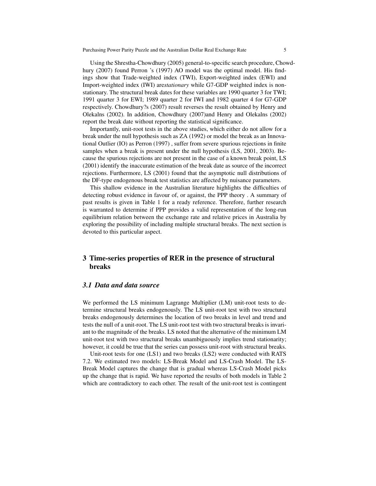Using the Shrestha-Chowdhury (2005) general-to-specific search procedure, Chowdhury (2007) found Perron 's (1997) AO model was the optimal model. His findings show that Trade-weighted index (TWI), Export-weighted index (EWI) and Import-weighted index (IWI) are*stationary* while G7-GDP weighted index is nonstationary. The structural break dates for these variables are 1990 quarter 3 for TWI; 1991 quarter 3 for EWI; 1989 quarter 2 for IWI and 1982 quarter 4 for G7-GDP respectively. Chowdhury?s (2007) result reverses the result obtained by Henry and Olekalns (2002). In addition, Chowdhury (2007)and Henry and Olekalns (2002) report the break date without reporting the statistical significance.

Importantly, unit-root tests in the above studies, which either do not allow for a break under the null hypothesis such as ZA (1992) or model the break as an Innovational Outlier (IO) as Perron (1997) , suffer from severe spurious rejections in finite samples when a break is present under the null hypothesis (LS, 2001, 2003). Because the spurious rejections are not present in the case of a known break point, LS (2001) identify the inaccurate estimation of the break date as source of the incorrect rejections. Furthermore, LS (2001) found that the asymptotic null distributions of the DF-type endogenous break test statistics are affected by nuisance parameters.

This shallow evidence in the Australian literature highlights the difficulties of detecting robust evidence in favour of, or against, the PPP theory . A summary of past results is given in Table 1 for a ready reference. Therefore, further research is warranted to determine if PPP provides a valid representation of the long-run equilibrium relation between the exchange rate and relative prices in Australia by exploring the possibility of including multiple structural breaks. The next section is devoted to this particular aspect.

## 3 Time-series properties of RER in the presence of structural breaks

#### *3.1 Data and data source*

We performed the LS minimum Lagrange Multiplier (LM) unit-root tests to determine structural breaks endogenously. The LS unit-root test with two structural breaks endogenously determines the location of two breaks in level and trend and tests the null of a unit-root. The LS unit-root test with two structural breaks is invariant to the magnitude of the breaks. LS noted that the alternative of the minimum LM unit-root test with two structural breaks unambiguously implies trend stationarity; however, it could be true that the series can possess unit-root with structural breaks.

Unit-root tests for one (LS1) and two breaks (LS2) were conducted with RATS 7.2. We estimated two models: LS-Break Model and LS-Crash Model. The LS-Break Model captures the change that is gradual whereas LS-Crash Model picks up the change that is rapid. We have reported the results of both models in Table 2 which are contradictory to each other. The result of the unit-root test is contingent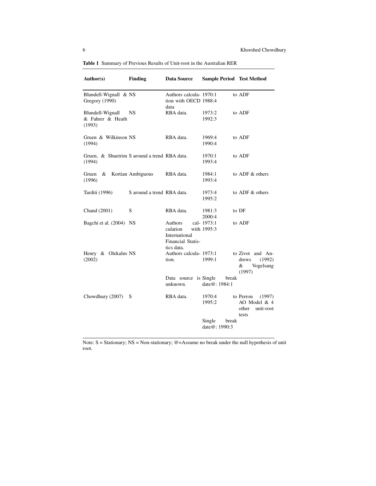| Author(s)                                              | <b>Finding</b><br><b>Data Source</b> |                                                                         | <b>Sample Period Test Method</b>    |                                                                    |  |  |
|--------------------------------------------------------|--------------------------------------|-------------------------------------------------------------------------|-------------------------------------|--------------------------------------------------------------------|--|--|
| Blundell-Wignall & NS<br>Gregory (1990)                |                                      | Authors calcula- 1970:1<br>tion with OECD 1988:4<br>data                |                                     | to ADF                                                             |  |  |
| Blundell-Wignall<br>& Fahrer & Heath<br>(1993)         | NS                                   | RBA data.                                                               | 1973:2<br>1992:3                    | to ADF                                                             |  |  |
| Gruen & Wilkinson NS<br>(1994)                         |                                      | RBA data.                                                               | 1969:4<br>1990:4                    | to ADF                                                             |  |  |
| Gruen, & Shuetrim S around a trend RBA data.<br>(1994) |                                      |                                                                         | 1970:1<br>1993:4                    | to ADF                                                             |  |  |
| &<br>Gruen<br>(1996)                                   | Kortian Ambiguous                    | RBA data.                                                               | 1984:1<br>1993:4                    | to ADF & others                                                    |  |  |
| Tarditi (1996)                                         | S around a trend RBA data.           |                                                                         | 1973:4<br>1995:2                    | to $ADF$ & others                                                  |  |  |
| Chand (2001)                                           | S                                    | RBA data.                                                               | 1981:3<br>2000:4                    | to DF                                                              |  |  |
| Bagchi et al. (2004) NS                                |                                      | Authors<br>culation<br>International<br>Financial Statis-<br>tics data. | cal-1973:1<br>with 1995:3           | to ADF                                                             |  |  |
| Henry & Olekalns NS<br>(2002)                          |                                      | Authors calcula- 1973:1<br>tion.                                        | 1999:1                              | to Zivot and An-<br>(1992)<br>drews<br>&<br>Vogelsang<br>(1997)    |  |  |
|                                                        |                                      | Data source<br>unknown.                                                 | is Single<br>break<br>date@: 1984:1 |                                                                    |  |  |
| Chowdhury (2007)                                       | S                                    | RBA data.                                                               | 1970:4<br>1995:2                    | to Perron<br>(1997)<br>AO Model & 4<br>other<br>unit-root<br>tests |  |  |
|                                                        |                                      |                                                                         | Single<br>break<br>date $@:1990:3$  |                                                                    |  |  |

Table 1 Summary of Previous Results of Unit-root in the Australian RER

Note:  $S =$  Stationary; NS = Non-stationary; @=Assume no break under the null hypothesis of unit root.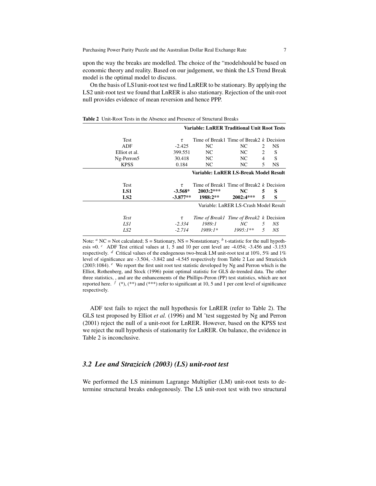upon the way the breaks are modelled. The choice of the "modelshould be based on economic theory and reality. Based on our judgement, we think the LS Trend Break model is the optimal model to discuss.

On the basis of LS1unit-root test we find LnRER to be stationary. By applying the LS2 unit-root test we found that LnRER is also stationary. Rejection of the unit-root null provides evidence of mean reversion and hence PPP.

|               |            | <b>Variable: LnRER Traditional Unit Root Tests</b> |                                       |                |           |
|---------------|------------|----------------------------------------------------|---------------------------------------|----------------|-----------|
| Test          | $\tau$     | Time of Break1 Time of Break2 $k$ Decision         |                                       |                |           |
| ADF           | $-2.425$   | NC.                                                | NC.                                   | 2              | NS        |
| Elliot et al. | 399.551    | NC.                                                | NC.                                   | 2              | S         |
| Ng-Perron5    | 30.418     | NC.                                                | NC.                                   | $\overline{4}$ | S         |
| <b>KPSS</b>   | 0.184      | NC.                                                | NC.                                   | 5              | <b>NS</b> |
|               |            | Variable: LnRER LS-Break Model Result              |                                       |                |           |
|               |            |                                                    |                                       |                |           |
| <b>Test</b>   | τ          | Time of Break1 Time of Break2 $k$ Decision         |                                       |                |           |
| LS1           | $-3.568*$  | $2003:2***$                                        | NC.                                   | 5              | S         |
| LS2           | $-3.877**$ | 1988:2**                                           | $2002:4***$                           | 5              | S         |
|               |            |                                                    | Variable: LnRER LS-Crash Model Result |                |           |
| <b>Test</b>   | τ          | Time of Break1 Time of Break2 k Decision           |                                       |                |           |
| LS 1          | $-2.334$   | 1989:1                                             | NC                                    | 5              | NS        |

Table 2 Unit-Root Tests in the Absence and Presence of Structural Breaks

Note:  $a \text{ NC} = \text{Not calculated}$ ; S = Stationary, NS = Nonstationary.  $b$  t-statistic for the null hypothesis =0. *<sup>c</sup>* ADF Test critical values at 1, 5 and 10 per cent level are -4.054; -3.456 and -3.153 respectively. *<sup>d</sup>* Critical values of the endogenous two-break LM unit-root test at 10%, 5% and 1% level of significance are -3.504, -3.842 and -4.545 respectively from Table 2 Lee and Strazicich (2003:1084). *<sup>e</sup>* We report the first unit root test statistic developed by Ng and Perron which is the Elliot, Rothenberg, and Stock (1996) point optimal statistic for GLS de-trended data. The other three statistics, , and are the enhancements of the Phillips-Peron (PP) test statistics, which are not reported here.  $f^*$  (\*), (\*\*) and (\*\*\*) refer to significant at 10, 5 and 1 per cent level of significance respectively.

ADF test fails to reject the null hypothesis for LnRER (refer to Table 2). The GLS test proposed by Elliot *et al.* (1996) and M ˜test suggested by Ng and Perron (2001) reject the null of a unit-root for LnRER. However, based on the KPSS test we reject the null hypothesis of stationarity for LnRER. On balance, the evidence in Table 2 is inconclusive.

### *3.2 Lee and Strazicich (2003) (LS) unit-root test*

We performed the LS minimum Lagrange Multiplier (LM) unit-root tests to determine structural breaks endogenously. The LS unit-root test with two structural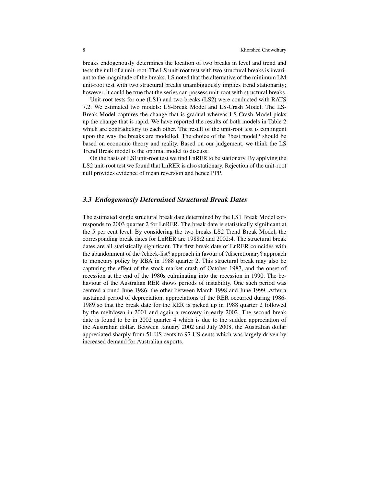breaks endogenously determines the location of two breaks in level and trend and tests the null of a unit-root. The LS unit-root test with two structural breaks is invariant to the magnitude of the breaks. LS noted that the alternative of the minimum LM unit-root test with two structural breaks unambiguously implies trend stationarity; however, it could be true that the series can possess unit-root with structural breaks.

Unit-root tests for one (LS1) and two breaks (LS2) were conducted with RATS 7.2. We estimated two models: LS-Break Model and LS-Crash Model. The LS-Break Model captures the change that is gradual whereas LS-Crash Model picks up the change that is rapid. We have reported the results of both models in Table 2 which are contradictory to each other. The result of the unit-root test is contingent upon the way the breaks are modelled. The choice of the ?best model? should be based on economic theory and reality. Based on our judgement, we think the LS Trend Break model is the optimal model to discuss.

On the basis of LS1unit-root test we find LnRER to be stationary. By applying the LS2 unit-root test we found that LnRER is also stationary. Rejection of the unit-root null provides evidence of mean reversion and hence PPP.

#### *3.3 Endogenously Determined Structural Break Dates*

The estimated single structural break date determined by the LS1 Break Model corresponds to 2003 quarter 2 for LnRER. The break date is statistically significant at the 5 per cent level. By considering the two breaks LS2 Trend Break Model, the corresponding break dates for LnRER are 1988:2 and 2002:4. The structural break dates are all statistically significant. The first break date of LnRER coincides with the abandonment of the ?check-list? approach in favour of ?discretionary? approach to monetary policy by RBA in 1988 quarter 2. This structural break may also be capturing the effect of the stock market crash of October 1987, and the onset of recession at the end of the 1980s culminating into the recession in 1990. The behaviour of the Australian RER shows periods of instability. One such period was centred around June 1986, the other between March 1998 and June 1999. After a sustained period of depreciation, appreciations of the RER occurred during 1986- 1989 so that the break date for the RER is picked up in 1988 quarter 2 followed by the meltdown in 2001 and again a recovery in early 2002. The second break date is found to be in 2002 quarter 4 which is due to the sudden appreciation of the Australian dollar. Between January 2002 and July 2008, the Australian dollar appreciated sharply from 51 US cents to 97 US cents which was largely driven by increased demand for Australian exports.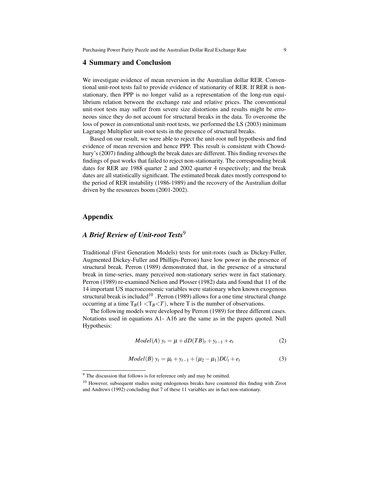#### 4 Summary and Conclusion

We investigate evidence of mean reversion in the Australian dollar RER. Conventional unit-root tests fail to provide evidence of stationarity of RER. If RER is nonstationary, then PPP is no longer valid as a representation of the long-run equilibrium relation between the exchange rate and relative prices. The conventional unit-root tests may suffer from severe size distortions and results might be erroneous since they do not account for structural breaks in the data. To overcome the loss of power in conventional unit-root tests, we performed the LS (2003) minimum Lagrange Multiplier unit-root tests in the presence of structural breaks.

Based on our result, we were able to reject the unit-root null hypothesis and find evidence of mean reversion and hence PPP. This result is consistent with Chowdhury's (2007) finding although the break dates are different. This finding reverses the findings of past works that failed to reject non-stationarity. The corresponding break dates for RER are 1988 quarter 2 and 2002 quarter 4 respectively; and the break dates are all statistically significant. The estimated break dates mostly correspond to the period of RER instability (1986-1989) and the recovery of the Australian dollar driven by the resources boom (2001-2002).

#### Appendix

### *A Brief Review of Unit-root Tests*<sup>9</sup>

Traditional (First Generation Models) tests for unit-roots (such as Dickey-Fuller, Augmented Dickey-Fuller and Phillips-Perron) have low power in the presence of structural break. Perron (1989) demonstrated that, in the presence of a structural break in time-series, many perceived non-stationary series were in fact stationary. Perron (1989) re-examined Nelson and Plosser (1982) data and found that 11 of the 14 important US macroeconomic variables were stationary when known exogenous structural break is included<sup>10</sup>. Perron (1989) allows for a one time structural change occurring at a time  $T_B(1 \langle T_B \langle T \rangle)$ , where T is the number of observations.

The following models were developed by Perron (1989) for three different cases. Notations used in equations A1- A16 are the same as in the papers quoted. Null Hypothesis:

$$
Model(A) y_t = \mu + dD(TB)_t + y_{t-1} + e_t
$$
 (2)

$$
Model(B) y_t = \mu_t + y_{t-1} + (\mu_2 - \mu_1)DU_t + e_t
$$
 (3)

<sup>&</sup>lt;sup>9</sup> The discussion that follows is for reference only and may be omitted.

<sup>&</sup>lt;sup>10</sup> However, subsequent studies using endogenous breaks have countered this finding with Zivot and Andrews (1992) concluding that 7 of these 11 variables are in fact non-stationary.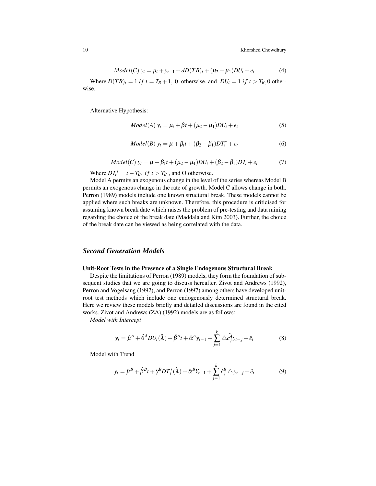$$
Model(C) y_t = \mu_t + y_{t-1} + dD(TB)_t + (\mu_2 - \mu_1)DU_t + e_t
$$
 (4)

Where  $D(TB)_t = 1$  *if*  $t = T_B + 1$ , 0 otherwise, and  $DU_t = 1$  *if*  $t > T_B$ , 0 otherwise.

Alternative Hypothesis:

$$
Model(A) yt = \mut + \beta t + (\mu2 - \mu1)DUt + et
$$
 (5)

$$
Model(B) y_t = \mu + \beta_t t + (\beta_2 - \beta_1)DT_t^* + e_t
$$
 (6)

$$
Model(C) y_t = \mu + \beta_1 t + (\mu_2 - \mu_1)DU_t + (\beta_2 - \beta_1)DT_t + e_t \tag{7}
$$

Where  $DT_t^* = t - T_B$ , if  $t > T_B$ , and O otherwise.

Model A permits an exogenous change in the level of the series whereas Model B permits an exogenous change in the rate of growth. Model C allows change in both. Perron (1989) models include one known structural break. These models cannot be applied where such breaks are unknown. Therefore, this procedure is criticised for assuming known break date which raises the problem of pre-testing and data mining regarding the choice of the break date (Maddala and Kim 2003). Further, the choice of the break date can be viewed as being correlated with the data.

### *Second Generation Models*

#### Unit-Root Tests in the Presence of a Single Endogenous Structural Break

Despite the limitations of Perron (1989) models, they form the foundation of subsequent studies that we are going to discuss hereafter. Zivot and Andrews (1992), Perron and Vogelsang (1992), and Perron (1997) among others have developed unitroot test methods which include one endogenously determined structural break. Here we review these models briefly and detailed discussions are found in the cited works. Zivot and Andrews (ZA) (1992) models are as follows:

*Model with Intercept*

$$
y_t = \hat{\mu}^A + \hat{\theta}^A DU_t(\hat{\lambda}) + \hat{\beta}^A t + \hat{\alpha}^A y_{t-1} + \sum_{j=1}^k \triangle \hat{c}_j^A y_{t-j} + \hat{e}_t
$$
 (8)

Model with Trend

$$
y_t = \hat{\mu}^B + \hat{\beta}^B t + \hat{\gamma}^B D T_t^* (\hat{\lambda}) + \hat{\alpha}^B Y_{t-1} + \sum_{j=1}^k \hat{c}_j^B \triangle y_{t-j} + \hat{e}_t
$$
(9)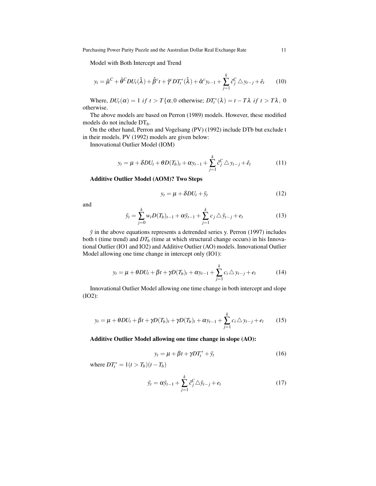Model with Both Intercept and Trend

$$
y_t = \hat{\mu}^C + \hat{\theta}^C DU_t(\hat{\lambda}) + \hat{\beta}^c t + \hat{\gamma}^C DT_t^*(\hat{\lambda}) + \hat{\alpha}^C y_{t-1} + \sum_{j=1}^k \hat{c}_j^C \triangle y_{t-j} + \hat{e}_t \qquad (10)
$$

Where,  $DU_t(\alpha) = 1$  *if*  $t > T\{\alpha, 0 \text{ otherwise}; DT_t^*(\lambda) = t - T\lambda \text{ if } t > T\lambda, 0\}$ otherwise.

The above models are based on Perron (1989) models. However, these modified models do not include DT*b*.

On the other hand, Perron and Vogelsang (PV) (1992) include DTb but exclude t in their models. PV (1992) models are given below:

Innovational Outlier Model (IOM)

$$
y_t = \mu + \delta D U_t + \theta D(T_b)_t + \alpha y_{t-1} + \sum_{j=1}^k \hat{c}_j^C \triangle y_{t-j} + \hat{e}_t \tag{11}
$$

### Additive Outlier Model (AOM)? Two Steps

$$
y_t = \mu + \delta D U_t + \tilde{y}_t \tag{12}
$$

and

$$
\tilde{y}_t = \sum_{j=0}^k w_t D(T_b)_{t-1} + \alpha \tilde{y}_{t-1} + \sum_{j=1}^k c_j \triangle \tilde{y}_{t-j} + e_t
$$
\n(13)

*y*˜ in the above equations represents a detrended series y. Perron (1997) includes both t (time trend) and  $DT<sub>b</sub>$  (time at which structural change occurs) in his Innovational Outlier (IO1 and IO2) and Additive Outlier (AO) models. Innovational Outlier Model allowing one time change in intercept only (IO1):

$$
y_t = \mu + \theta D U_t + \beta t + \gamma D(T_b)_t + \alpha y_{t-1} + \sum_{j=1}^k c_j \triangle y_{t-j} + e_t
$$
 (14)

Innovational Outlier Model allowing one time change in both intercept and slope (IO2):

$$
y_t = \mu + \theta DU_t + \beta t + \gamma D(T_b)_t + \gamma D(T_b)_t + \alpha y_{t-1} + \sum_{j=1}^k c_j \triangle y_{t-j} + e_t \qquad (15)
$$

Additive Outlier Model allowing one time change in slope (AO):

$$
y_t = \mu + \beta t + \gamma DT_t^* + \tilde{y}_t \tag{16}
$$

where  $DT_t^* = 1(t > T_b)(t - T_b)$ 

$$
\tilde{y}_t = \alpha \tilde{y}_{t-1} + \sum_{j=1}^k \hat{c}_j^C \triangle \tilde{y}_{t-j} + e_t \tag{17}
$$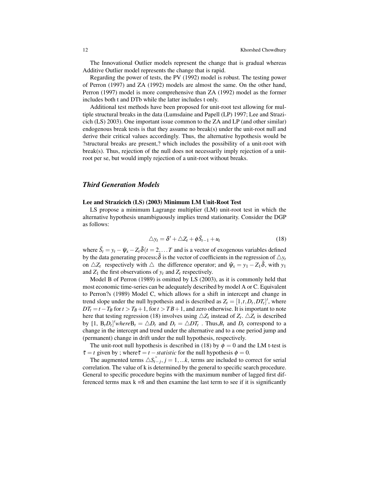The Innovational Outlier models represent the change that is gradual whereas Additive Outlier model represents the change that is rapid.

Regarding the power of tests, the PV (1992) model is robust. The testing power of Perron (1997) and ZA (1992) models are almost the same. On the other hand, Perron (1997) model is more comprehensive than ZA (1992) model as the former includes both t and DTb while the latter includes t only.

Additional test methods have been proposed for unit-root test allowing for multiple structural breaks in the data (Lumsdaine and Papell (LP) 1997; Lee and Strazicich (LS) 2003). One important issue common to the ZA and LP (and other similar) endogenous break tests is that they assume no break(s) under the unit-root null and derive their critical values accordingly. Thus, the alternative hypothesis would be ?structural breaks are present,? which includes the possibility of a unit-root with break(s). Thus, rejection of the null does not necessarily imply rejection of a unitroot per se, but would imply rejection of a unit-root without breaks.

#### *Third Generation Models*

#### Lee and Strazicich (LS) (2003) Minimum LM Unit-Root Test

LS propose a minimum Lagrange multiplier (LM) unit-root test in which the alternative hypothesis unambiguously implies trend stationarity. Consider the DGP as follows:

$$
\triangle y_t = \delta' + \triangle Z_t + \phi \tilde{S}_{t-1} + u_t \tag{18}
$$

where  $\tilde{S}_t = y_t - \tilde{\psi}_x - Z_t \tilde{\delta}(t = 2, \dots T$  and is a vector of exogenous variables defined by the data generating process;  $\delta$  is the vector of coefficients in the regression of  $\Delta y_t$ on  $\triangle Z_t$  respectively with  $\triangle$  the difference operator; and  $\hat{\psi}_x = y_1 - Z_1 \tilde{\delta}$ , with  $y_1$ and  $Z_1$  the first observations of  $y_t$  and  $Z_t$  respectively.

Model B of Perron (1989) is omitted by LS (2003), as it is commonly held that most economic time-series can be adequately described by model A or C. Equivalent to Perron?s (1989) Model C, which allows for a shift in intercept and change in trend slope under the null hypothesis and is described as  $Z_t = [1, t, D_t, DT_t]$ , where  $DT_t = t - T_B$  for  $t > T_B + 1$ , for  $t > TB + 1$ , and zero otherwise. It is important to note here that testing regression (18) involves using  $\triangle Z_t$  instead of  $Z_t$ .  $\triangle Z_t$  is described by  $[1, B_t D_t]'$  where  $B_t = \triangle D_t$  and  $D_t = \triangle DT_t$ . Thus,  $B_t$  and  $D_t$  correspond to a change in the intercept and trend under the alternative and to a one period jump and (permanent) change in drift under the null hypothesis, respectively.

The unit-root null hypothesis is described in (18) by  $\phi = 0$  and the LM t-test is  $\tilde{\tau} = t$  given by ; where  $\tilde{\tau} = t - \tau \tilde{\tau}$  *statistic* for the null hypothesis  $\phi = 0$ .

The augmented terms  $\Delta S_{t-j}$ ,  $j = 1,...k$ , terms are included to correct for serial correlation. The value of k is determined by the general to specific search procedure. General to specific procedure begins with the maximum number of lagged first differenced terms max  $k = 8$  and then examine the last term to see if it is significantly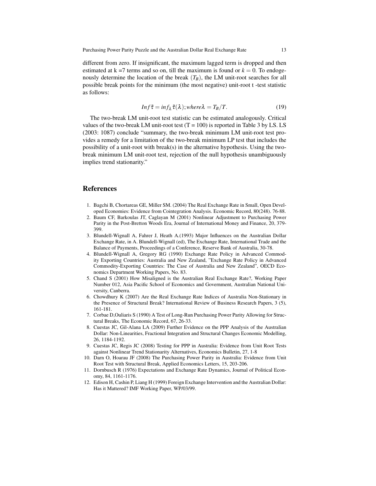different from zero. If insignificant, the maximum lagged term is dropped and then estimated at  $k = 7$  terms and so on, till the maximum is found or  $k = 0$ . To endogenously determine the location of the break  $(T_B)$ , the LM unit-root searches for all possible break points for the minimum (the most negative) unit-root t -test statistic as follows:

$$
Inf \tilde{\tau} = inf_{\lambda} \tilde{\tau}(\lambda); where \lambda = T_B/T.
$$
 (19)

The two-break LM unit-root test statistic can be estimated analogously. Critical values of the two-break LM unit-root test  $(T = 100)$  is reported in Table 3 by LS. LS (2003: 1087) conclude "summary, the two-break minimum LM unit-root test provides a remedy for a limitation of the two-break minimum LP test that includes the possibility of a unit-root with break(s) in the alternative hypothesis. Using the twobreak minimum LM unit-root test, rejection of the null hypothesis unambiguously implies trend stationarity."

#### References

- 1. Bagchi B, Chortareas GE, Miller SM. (2004) The Real Exchange Rate in Small, Open Developed Economies: Evidence from Cointegration Analysis. Economic Record, 80(248). 76-88.
- 2. Baum CF, Barkoulas JT, Caglayan M (2001) Nonlinear Adjustment to Purchasing Power Parity in the Post-Bretton Woods Era, Journal of International Money and Finance, 20, 379- 399.
- 3. Blundell-Wignall A, Fahrer J, Heath A.(1993) Major Influences on the Australian Dollar Exchange Rate, in A. Blundell-Wignall (ed), The Exchange Rate, International Trade and the Balance of Payments, Proceedings of a Conference, Reserve Bank of Australia, 30-78.
- 4. Blundell-Wignall A, Gregory RG (1990) Exchange Rate Policy in Advanced Commodity Exporting Countries: Australia and New Zealand, "Exchange Rate Policy in Advanced Commodity-Exporting Countries: The Case of Australia and New Zealand", OECD Economics Department Working Papers, No. 83.
- 5. Chand S (2001) How Misaligned is the Australian Real Exchange Rate?, Working Paper Number 012, Asia Pacific School of Economics and Government, Australian National University, Canberra.
- 6. Chowdhury K (2007) Are the Real Exchange Rate Indices of Australia Non-Stationary in the Presence of Structural Break? International Review of Business Research Papers, 3 (5), 161-181.
- 7. Corbae D,Ouliaris S (1990) A Test of Long-Run Purchasing Power Parity Allowing for Structural Breaks, The Economic Record, 67, 26-33.
- 8. Cuestas JC, Gil-Alana LA (2009) Further Evidence on the PPP Analysis of the Australian Dollar: Non-Linearities, Fractional Integration and Structural Changes Economic Modelling, 26, 1184-1192.
- 9. Cuestas JC, Regis JC (2008) Testing for PPP in Australia: Evidence from Unit Root Tests against Nonlinear Trend Stationarity Alternatives, Economics Bulletin, 27, 1-8
- 10. Darn O, Hoarau JF (2008) The Purchasing Power Parity in Australia: Evidence from Unit Root Test with Structural Break, Applied Economics Letters, 15, 203-206.
- 11. Dornbusch R (1976) Expectations and Exchange Rate Dynamics, Journal of Political Economy, 84, 1161-1176.
- 12. Edison H, Cashin P, Liang H (1999) Foreign Exchange Intervention and the Australian Dollar: Has it Mattered? IMF Working Paper, WP/03/99.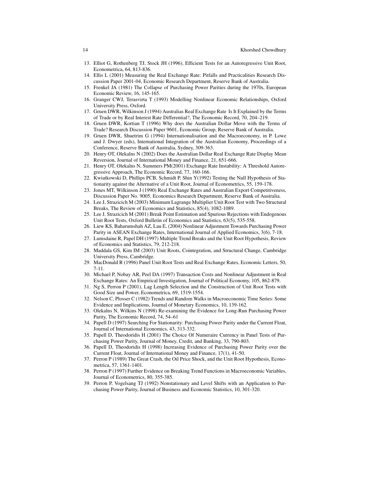- 13. Elliot G, Rothenberg TJ, Stock JH (1996), Efficient Tests for an Autoregressive Unit Root, Econometrica, 64, 813-836.
- 14. Ellis L (2001) Measuring the Real Exchange Rate: Pitfalls and Practicalities Research Discussion Paper 2001-04, Economic Research Department, Reserve Bank of Australia.
- 15. Frenkel JA (1981) The Collapse of Purchasing Power Parities during the 1970s, European Economic Review, 16, 145-165.
- 16. Granger CWJ, Terasvirta T (1993) Modelling Nonlinear Economic Relationships, Oxford University Press, Oxford.
- 17. Gruen DWR, Wilkinson J (1994) Australias Real Exchange Rate Is It Explained by the Terms of Trade or by Real Interest Rate Differential?, The Economic Record, 70, 204–219.
- 18. Gruen DWR, Kortian T (1996) Why does the Australian Dollar Move with the Terms of Trade? Research Discussion Paper 9601, Economic Group, Reserve Bank of Australia.
- 19. Gruen DWR, Shuetrim G (1994) Internationalisation and the Macroeconomy, in P. Lowe and J. Dwyer (eds), International Integration of the Australian Economy, Proceedings of a Conference, Reserve Bank of Australia, Sydney, 309-363.
- 20. Henry OT, Olekalns N (2002) Does the Australian Dollar Real Exchange Rate Display Mean Reversion, Journal of International Money and Finance, 21, 651-666.
- 21. Henry OT, Olekalns N, Summers PM(2001) Exchange Rate Instability: A Threshold Autoregressive Approach, The Economic Record, 77, 160-166.
- 22. Kwiatkowski D, Phillips PCB, Schmidt P, Shin Y(1992) Testing the Null Hypothesis of Stationarity against the Alternative of a Unit Root, Journal of Econometrics, 55, 159-178.
- 23. Jones MT, Wilkinson J (1990) Real Exchange Rates and Australian Export Competitiveness, Discussion Paper No. 9005, Economics Research Department, Reserve Bank of Australia.
- 24. Lee J, Strazicich M (2003) Minimum Lagrange Multiplier Unit Root Test with Two Structural Breaks, The Review of Economics and Statistics, 85(4), 1082-1089.
- 25. Lee J, Strazicich M (2001) Break Point Estimation and Spurious Rejections with Endogenous Unit Root Tests, Oxford Bulletin of Economics and Statistics, 63(5), 535-558.
- 26. Liew KS, Baharumshah AZ, Lau E, (2004) Nonlinear Adjustment Towards Purchasing Power Parity in ASEAN Exchange Rates, International Journal of Applied Economics, 3(6), 7-18.
- 27. Lumsdaine R, Papel DH (1997) Multiple Trend Breaks and the Unit Root Hypothesis, Review of Economics and Statistics, 79, 212-218.
- 28. Maddala GS, Kim IM (2003) Unit Roots, Cointegration, and Structural Change, Cambridge University Press, Cambridge.
- 29. MacDonald R (1996) Panel Unit Root Tests and Real Exchange Rates, Economic Letters, 50, 7-11.
- 30. Michael P, Nobay AR, Peel DA (1997) Transaction Costs and Nonlinear Adjustment in Real Exchange Rates: An Empirical Investigation, Journal of Political Economy, 105, 862-879.
- 31. Ng S, Perron P (2001), Lag Length Selection and the Construction of Unit Root Tests with Good Size and Power, Econometrica, 69, 1519-1554.
- 32. Nelson C, Plosser C (1982) Trends and Random Walks in Macroeconomic Time Series: Some Evidence and Implications, Journal of Monetary Economics, 10, 139-162.
- 33. Olekalns N, Wilkins N (1998) Re-examining the Evidence for Long-Run Purchasing Power Parity, The Economic Record, 74, 54–61
- 34. Papell D (1997) Searching For Stationarity: Purchasing Power Parity under the Current Float, Journal of International Economics, 43, 313-332.
- 35. Papell D, Theodoridis H (2001) The Choice Of Numeraire Currency in Panel Tests of Purchasing Power Parity, Journal of Money, Credit, and Banking, 33, 790-803.
- 36. Papell D, Theodoridis H (1998) Increasing Evidence of Purchasing Power Parity over the Current Float, Journal of International Money and Finance, 17(1), 41-50.
- 37. Perron P (1989) The Great Crash, the Oil Price Shock, and the Unit Root Hypothesis, Econometrica, 57, 1361-1401.
- 38. Perron P (1997) Further Evidence on Breaking Trend Functions in Macroeconomic Variables, Journal of Econometrics, 80, 355-385.
- 39. Perron P, Vogelsang TJ (1992) Nonstationary and Level Shifts with an Application to Purchasing Power Parity, Journal of Business and Economic Statistics, 10, 301-320.